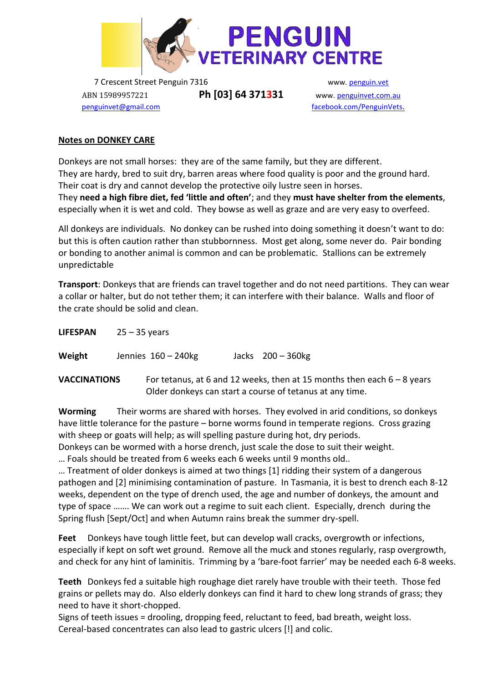

7 Crescent Street Penguin 7316 www. [penguin.vet](http://www.penguinvet.com.au/) ABN 15989957221 **Ph [03] 64 371331** www. [penguinvet.com.au](http://www.penguinvet.com.au/)

 [penguinvet@gmail.com](mailto:penguinvet@gmail.com) [facebook.com/PenguinVets](mailto:penguinvet@gmail.com).

## **Notes on DONKEY CARE**

Donkeys are not small horses: they are of the same family, but they are different. They are hardy, bred to suit dry, barren areas where food quality is poor and the ground hard. Their coat is dry and cannot develop the protective oily lustre seen in horses. They **need a high fibre diet, fed 'little and often'**; and they **must have shelter from the elements**, especially when it is wet and cold. They bowse as well as graze and are very easy to overfeed.

All donkeys are individuals. No donkey can be rushed into doing something it doesn't want to do: but this is often caution rather than stubbornness. Most get along, some never do. Pair bonding or bonding to another animal is common and can be problematic. Stallions can be extremely unpredictable

**Transport**: Donkeys that are friends can travel together and do not need partitions. They can wear a collar or halter, but do not tether them; it can interfere with their balance. Walls and floor of the crate should be solid and clean.

| <b>LIFESPAN</b>     | $25 - 35$ years                                                                                                                       |  |
|---------------------|---------------------------------------------------------------------------------------------------------------------------------------|--|
| Weight              | Jennies 160 - 240kg<br>Jacks $200 - 360$ kg                                                                                           |  |
| <b>VACCINATIONS</b> | For tetanus, at 6 and 12 weeks, then at 15 months then each $6 - 8$ years<br>Older donkeys can start a course of tetanus at any time. |  |

**Worming** Their worms are shared with horses. They evolved in arid conditions, so donkeys have little tolerance for the pasture – borne worms found in temperate regions. Cross grazing with sheep or goats will help; as will spelling pasture during hot, dry periods.

Donkeys can be wormed with a horse drench, just scale the dose to suit their weight.

… Foals should be treated from 6 weeks each 6 weeks until 9 months old..

… Treatment of older donkeys is aimed at two things [1] ridding their system of a dangerous pathogen and [2] minimising contamination of pasture. In Tasmania, it is best to drench each 8-12 weeks, dependent on the type of drench used, the age and number of donkeys, the amount and type of space ……. We can work out a regime to suit each client. Especially, drench during the Spring flush [Sept/Oct] and when Autumn rains break the summer dry-spell.

**Feet** Donkeys have tough little feet, but can develop wall cracks, overgrowth or infections, especially if kept on soft wet ground. Remove all the muck and stones regularly, rasp overgrowth, and check for any hint of laminitis. Trimming by a 'bare-foot farrier' may be needed each 6-8 weeks.

**Teeth** Donkeys fed a suitable high roughage diet rarely have trouble with their teeth. Those fed grains or pellets may do. Also elderly donkeys can find it hard to chew long strands of grass; they need to have it short-chopped.

Signs of teeth issues = drooling, dropping feed, reluctant to feed, bad breath, weight loss. Cereal-based concentrates can also lead to gastric ulcers [!] and colic.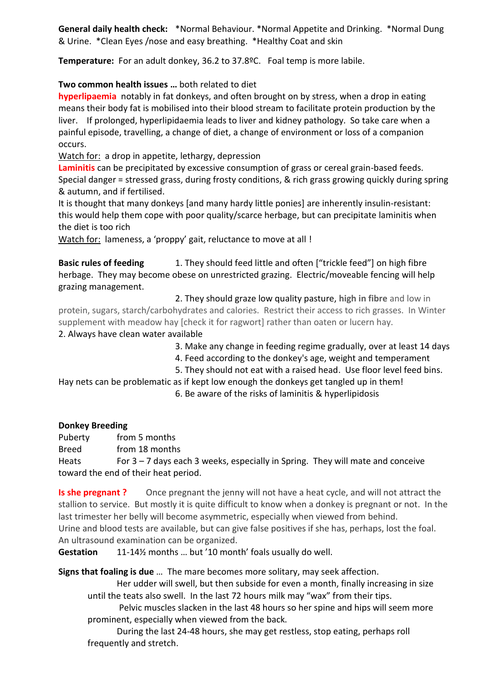**General daily health check:** \*Normal Behaviour. \*Normal Appetite and Drinking. \*Normal Dung & Urine. \*Clean Eyes /nose and easy breathing. \*Healthy Coat and skin

**Temperature:** For an adult donkey, 36.2 to 37.8ºC. Foal temp is more labile.

**Two common health issues …** both related to diet

**hyperlipaemia** notably in fat donkeys, and often brought on by stress, when a drop in eating means their body fat is mobilised into their blood stream to facilitate protein production by the liver. If prolonged, hyperlipidaemia leads to liver and kidney pathology. So take care when a painful episode, travelling, a change of diet, a change of environment or loss of a companion occurs.

Watch for: a drop in appetite, lethargy, depression

**Laminitis** can be precipitated by excessive consumption of grass or cereal grain-based feeds. Special danger = stressed grass, during frosty conditions, & rich grass growing quickly during spring & autumn, and if fertilised.

It is thought that many donkeys [and many hardy little ponies] are inherently insulin-resistant: this would help them cope with poor quality/scarce herbage, but can precipitate laminitis when the diet is too rich

Watch for: lameness, a 'proppy' gait, reluctance to move at all !

**Basic rules of feeding** 1. They should feed little and often ["trickle feed"] on high fibre herbage. They may become obese on unrestricted grazing. Electric/moveable fencing will help grazing management.

2. They should graze low quality pasture, **high in fibre** and low in protein, sugars, starch/carbohydrates and calories. Restrict their access to rich grasses. In Winter supplement with meadow hay [check it for ragwort] rather than oaten or lucern hay.

2. Always have clean water available

- 3. Make any change in feeding regime gradually, over at least 14 days
- 4. Feed according to the donkey's age, weight and temperament
- 5. They should not eat with a raised head. Use floor level feed bins.

Hay nets can be problematic as if kept low enough the donkeys get tangled up in them! 6. Be aware of the risks of laminitis & hyperlipidosis

## **Donkey Breeding**

Puberty from 5 months Breed from 18 months Heats For  $3 - 7$  days each 3 weeks, especially in Spring. They will mate and conceive toward the end of their heat period.

**Is she pregnant ?** Once pregnant the jenny will not have a heat cycle, and will not attract the stallion to service. But mostly it is quite difficult to know when a donkey is pregnant or not. In the last trimester her belly will become asymmetric, especially when viewed from behind. Urine and blood tests are available, but can give false positives if she has, perhaps, lost the foal. An ultrasound examination can be organized.

**Gestation** 11-14½ months … but '10 month' foals usually do well.

**Signs that foaling is due** … The mare becomes more solitary, may seek affection.

Her udder will swell, but then subside for even a month, finally increasing in size until the teats also swell. In the last 72 hours milk may "wax" from their tips.

Pelvic muscles slacken in the last 48 hours so her spine and hips will seem more prominent, especially when viewed from the back.

During the last 24-48 hours, she may get restless, stop eating, perhaps roll frequently and stretch.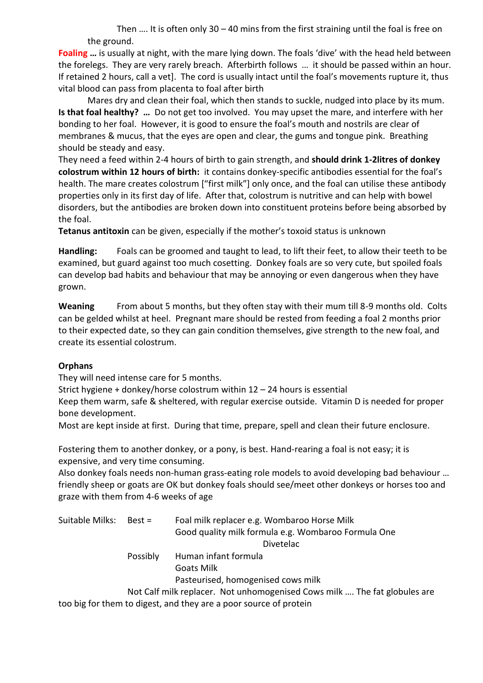Then …. It is often only 30 – 40 mins from the first straining until the foal is free on the ground.

**Foaling …** is usually at night, with the mare lying down. The foals 'dive' with the head held between the forelegs. They are very rarely breach. Afterbirth follows … it should be passed within an hour. If retained 2 hours, call a vet]. The cord is usually intact until the foal's movements rupture it, thus vital blood can pass from placenta to foal after birth

Mares dry and clean their foal, which then stands to suckle, nudged into place by its mum. **Is that foal healthy? …** Do not get too involved. You may upset the mare, and interfere with her bonding to her foal. However, it is good to ensure the foal's mouth and nostrils are clear of membranes & mucus, that the eyes are open and clear, the gums and tongue pink. Breathing should be steady and easy.

They need a feed within 2-4 hours of birth to gain strength, and **should drink 1-2litres of donkey colostrum within 12 hours of birth:** it contains donkey-specific antibodies essential for the foal's health. The mare creates colostrum ["first milk"] only once, and the foal can utilise these antibody properties only in its first day of life. After that, colostrum is nutritive and can help with bowel disorders, but the antibodies are broken down into constituent proteins before being absorbed by the foal.

**Tetanus antitoxin** can be given, especially if the mother's toxoid status is unknown

**Handling:** Foals can be groomed and taught to lead, to lift their feet, to allow their teeth to be examined, but guard against too much cosetting. Donkey foals are so very cute, but spoiled foals can develop bad habits and behaviour that may be annoying or even dangerous when they have grown.

**Weaning** From about 5 months, but they often stay with their mum till 8-9 months old. Colts can be gelded whilst at heel. Pregnant mare should be rested from feeding a foal 2 months prior to their expected date, so they can gain condition themselves, give strength to the new foal, and create its essential colostrum.

## **Orphans**

They will need intense care for 5 months.

Strict hygiene + donkey/horse colostrum within 12 – 24 hours is essential

Keep them warm, safe & sheltered, with regular exercise outside. Vitamin D is needed for proper bone development.

Most are kept inside at first. During that time, prepare, spell and clean their future enclosure.

Fostering them to another donkey, or a pony, is best. Hand-rearing a foal is not easy; it is expensive, and very time consuming.

Also donkey foals needs non-human grass-eating role models to avoid developing bad behaviour … friendly sheep or goats are OK but donkey foals should see/meet other donkeys or horses too and graze with them from 4-6 weeks of age

| Suitable Milks: | Best =                                                                    | Foal milk replacer e.g. Wombaroo Horse Milk<br>Good quality milk formula e.g. Wombaroo Formula One |  |  |
|-----------------|---------------------------------------------------------------------------|----------------------------------------------------------------------------------------------------|--|--|
|                 |                                                                           | Divetelac                                                                                          |  |  |
|                 | Possibly                                                                  | Human infant formula                                                                               |  |  |
|                 |                                                                           | <b>Goats Milk</b>                                                                                  |  |  |
|                 |                                                                           | Pasteurised, homogenised cows milk                                                                 |  |  |
|                 | Not Calf milk replacer. Not unhomogenised Cows milk  The fat globules are |                                                                                                    |  |  |
|                 |                                                                           | too big for them to digest, and they are a poor source of protein                                  |  |  |